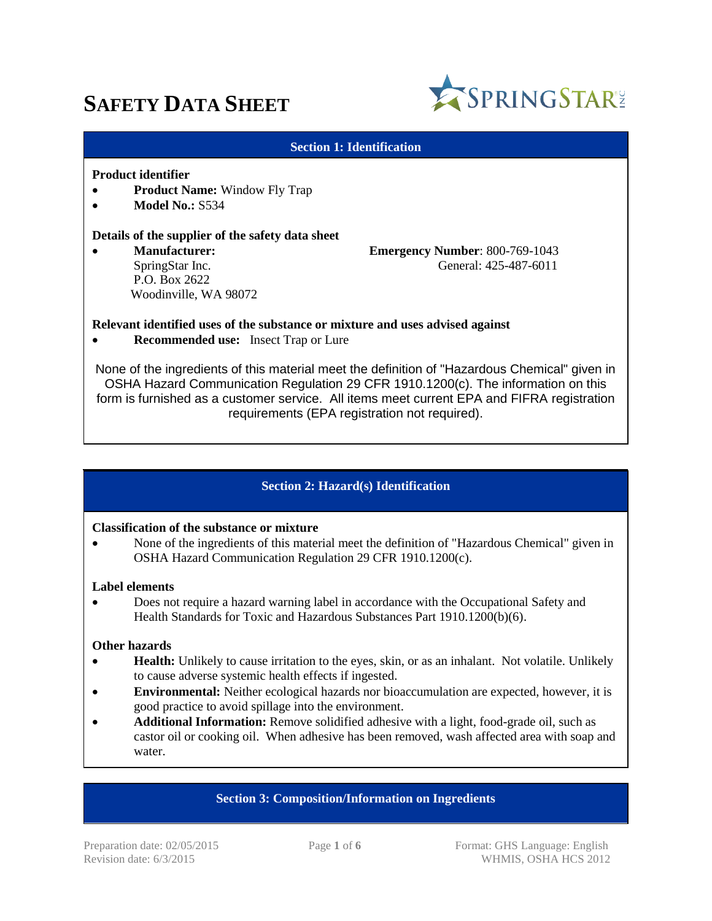# **SAFETY DATA SHEET**



#### **Section 1: Identification**

#### **Product identifier**

- **Product Name:** Window Fly Trap
- **Model No.: S534**

#### **Details of the supplier of the safety data sheet**

 P.O. Box 2622 Woodinville, WA 98072

 **Manufacturer: Emergency Number**: 800-769-1043 SpringStar Inc. General: 425-487-6011

#### **Relevant identified uses of the substance or mixture and uses advised against**

**Recommended use:** Insect Trap or Lure

None of the ingredients of this material meet the definition of "Hazardous Chemical" given in OSHA Hazard Communication Regulation 29 CFR 1910.1200(c). The information on this form is furnished as a customer service. All items meet current EPA and FIFRA registration requirements (EPA registration not required).

## **Section 2: Hazard(s) Identification**

#### **Classification of the substance or mixture**

 None of the ingredients of this material meet the definition of "Hazardous Chemical" given in OSHA Hazard Communication Regulation 29 CFR 1910.1200(c).

#### **Label elements**

 Does not require a hazard warning label in accordance with the Occupational Safety and Health Standards for Toxic and Hazardous Substances Part 1910.1200(b)(6).

#### **Other hazards**

- **Health:** Unlikely to cause irritation to the eyes, skin, or as an inhalant. Not volatile. Unlikely to cause adverse systemic health effects if ingested.
- **Environmental:** Neither ecological hazards nor bioaccumulation are expected, however, it is good practice to avoid spillage into the environment.
- **Additional Information:** Remove solidified adhesive with a light, food-grade oil, such as castor oil or cooking oil. When adhesive has been removed, wash affected area with soap and water.

## **Section 3: Composition/Information on Ingredients**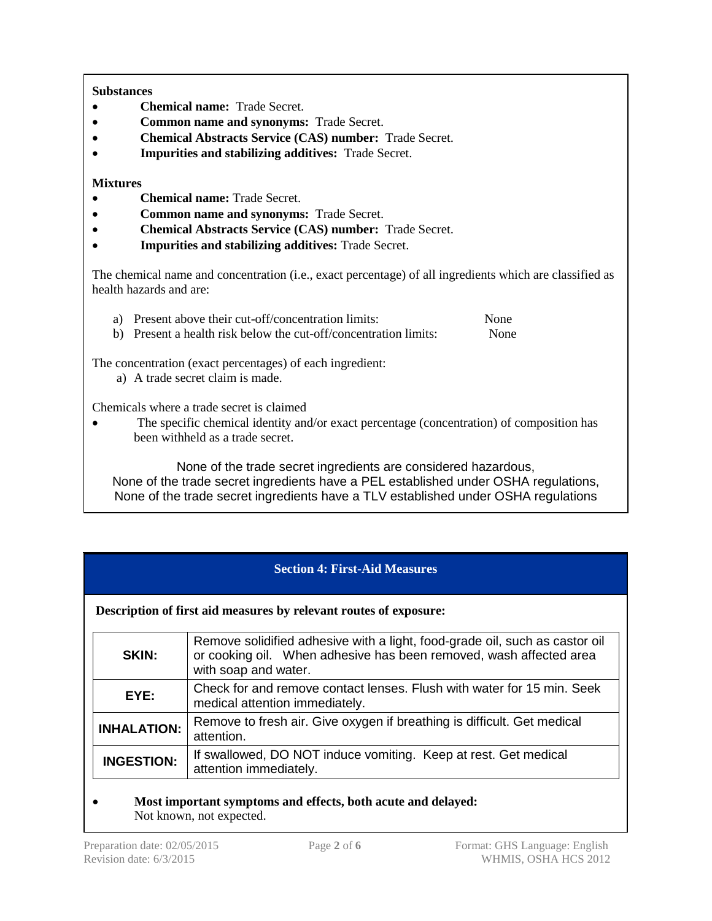## **Substances**

- **Chemical name:** Trade Secret.
- **Common name and synonyms:** Trade Secret.
- **Chemical Abstracts Service (CAS) number:** Trade Secret.
- **Impurities and stabilizing additives:** Trade Secret.

## **Mixtures**

- **Chemical name:** Trade Secret.
- **Common name and synonyms:** Trade Secret.
- **Chemical Abstracts Service (CAS) number:** Trade Secret.
- **Impurities and stabilizing additives:** Trade Secret.

The chemical name and concentration (i.e., exact percentage) of all ingredients which are classified as health hazards and are:

a) Present above their cut-off/concentration limits: None

b) Present a health risk below the cut-off/concentration limits: None

The concentration (exact percentages) of each ingredient:

a) A trade secret claim is made.

Chemicals where a trade secret is claimed

 The specific chemical identity and/or exact percentage (concentration) of composition has been withheld as a trade secret.

None of the trade secret ingredients are considered hazardous, None of the trade secret ingredients have a PEL established under OSHA regulations, None of the trade secret ingredients have a TLV established under OSHA regulations

# **Section 4: First-Aid Measures**

**Description of first aid measures by relevant routes of exposure:**

| <b>SKIN:</b>       | Remove solidified adhesive with a light, food-grade oil, such as castor oil<br>or cooking oil. When adhesive has been removed, wash affected area<br>with soap and water. |  |  |  |
|--------------------|---------------------------------------------------------------------------------------------------------------------------------------------------------------------------|--|--|--|
| EYE:               | Check for and remove contact lenses. Flush with water for 15 min. Seek<br>medical attention immediately.                                                                  |  |  |  |
| <b>INHALATION:</b> | Remove to fresh air. Give oxygen if breathing is difficult. Get medical<br>attention.                                                                                     |  |  |  |
| <b>INGESTION:</b>  | If swallowed, DO NOT induce vomiting. Keep at rest. Get medical<br>attention immediately.                                                                                 |  |  |  |

## **Most important symptoms and effects, both acute and delayed:**  Not known, not expected.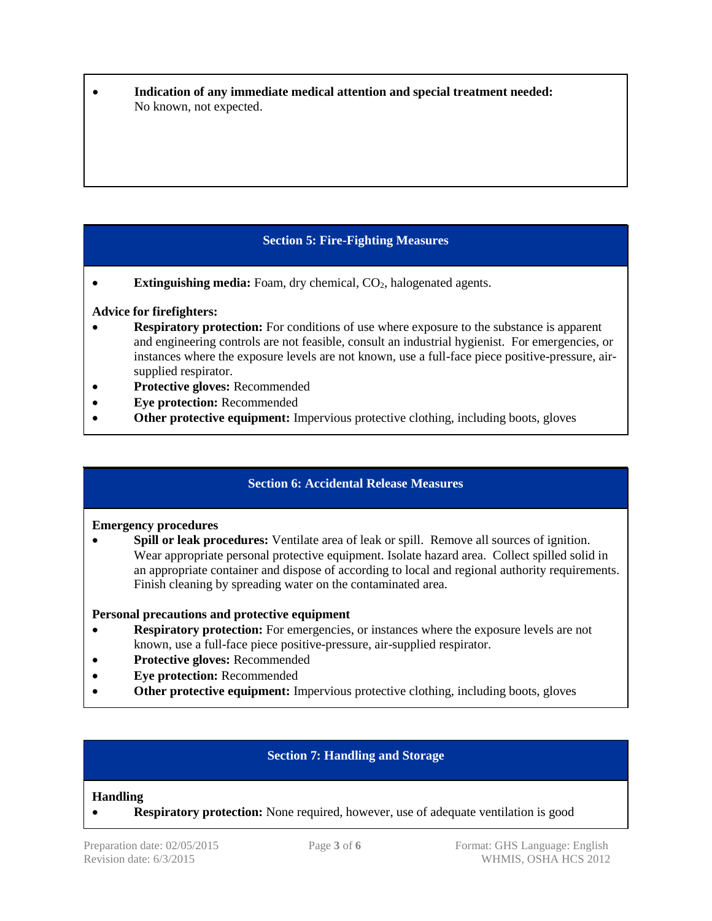**Indication of any immediate medical attention and special treatment needed:**  No known, not expected.

# **Section 5: Fire-Fighting Measures**

• **Extinguishing media:** Foam, dry chemical, CO<sub>2</sub>, halogenated agents.

## **Advice for firefighters:**

- **Respiratory protection:** For conditions of use where exposure to the substance is apparent and engineering controls are not feasible, consult an industrial hygienist. For emergencies, or instances where the exposure levels are not known, use a full-face piece positive-pressure, airsupplied respirator.
- **Protective gloves:** Recommended
- **Eye protection:** Recommended
- **Other protective equipment:** Impervious protective clothing, including boots, gloves

# **Section 6: Accidental Release Measures**

## **Emergency procedures**

**Spill or leak procedures:** Ventilate area of leak or spill. Remove all sources of ignition. Wear appropriate personal protective equipment. Isolate hazard area. Collect spilled solid in an appropriate container and dispose of according to local and regional authority requirements. Finish cleaning by spreading water on the contaminated area.

## **Personal precautions and protective equipment**

- **Respiratory protection:** For emergencies, or instances where the exposure levels are not known, use a full-face piece positive-pressure, air-supplied respirator.
- **Protective gloves:** Recommended
- **Eye protection:** Recommended
- **Other protective equipment:** Impervious protective clothing, including boots, gloves

# **Section 7: Handling and Storage**

## **Handling**

**Respiratory protection:** None required, however, use of adequate ventilation is good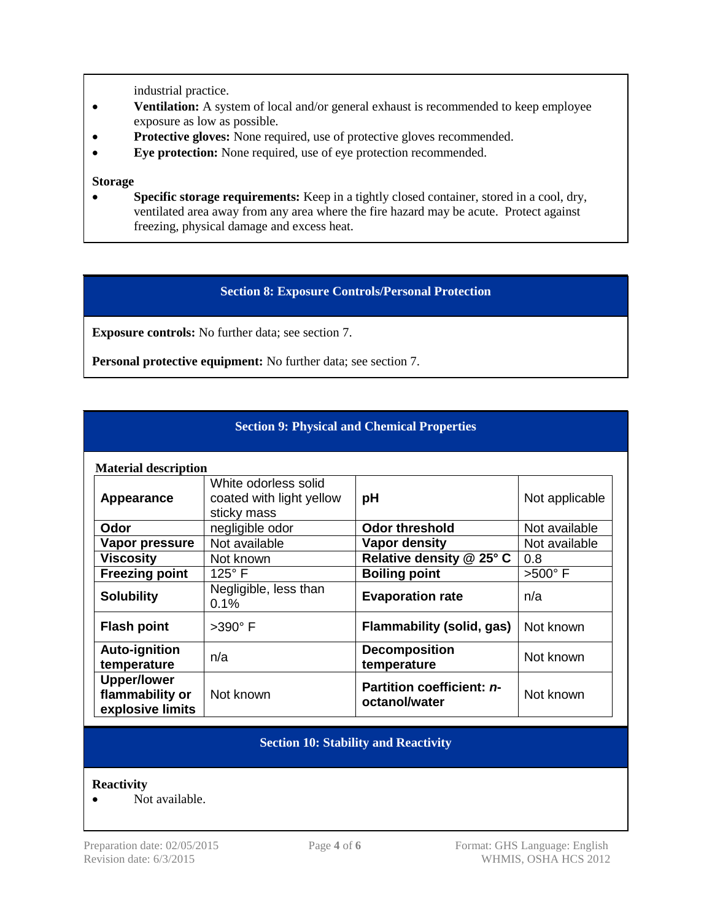industrial practice.

- **Ventilation:** A system of local and/or general exhaust is recommended to keep employee exposure as low as possible.
- Protective gloves: None required, use of protective gloves recommended.
- **Eye protection:** None required, use of eye protection recommended.

#### **Storage**

 **Specific storage requirements:** Keep in a tightly closed container, stored in a cool, dry, ventilated area away from any area where the fire hazard may be acute. Protect against freezing, physical damage and excess heat.

## **Section 8: Exposure Controls/Personal Protection**

**Exposure controls:** No further data; see section 7.

**Personal protective equipment:** No further data; see section 7.

## **Section 9: Physical and Chemical Properties**

| <b>Material description</b>                               |                                                                 |                                            |                |  |
|-----------------------------------------------------------|-----------------------------------------------------------------|--------------------------------------------|----------------|--|
| Appearance                                                | White odorless solid<br>coated with light yellow<br>sticky mass | pH                                         | Not applicable |  |
| Odor                                                      | negligible odor                                                 | <b>Odor threshold</b>                      | Not available  |  |
| Vapor pressure                                            | Not available                                                   | Vapor density                              | Not available  |  |
| <b>Viscosity</b>                                          | Not known                                                       | Relative density @ 25° C                   | 0.8            |  |
| <b>Freezing point</b>                                     | $125^\circ$ F                                                   | <b>Boiling point</b>                       | $>500^\circ$ F |  |
| <b>Solubility</b>                                         | Negligible, less than<br>0.1%                                   | <b>Evaporation rate</b>                    | n/a            |  |
| <b>Flash point</b>                                        | $>390^\circ$ F                                                  | Flammability (solid, gas)                  | Not known      |  |
| Auto-ignition<br>temperature                              | n/a                                                             | <b>Decomposition</b><br>temperature        | Not known      |  |
| <b>Upper/lower</b><br>flammability or<br>explosive limits | Not known                                                       | Partition coefficient: n-<br>octanol/water | Not known      |  |

# **Section 10: Stability and Reactivity**

#### **Reactivity**

• Not available.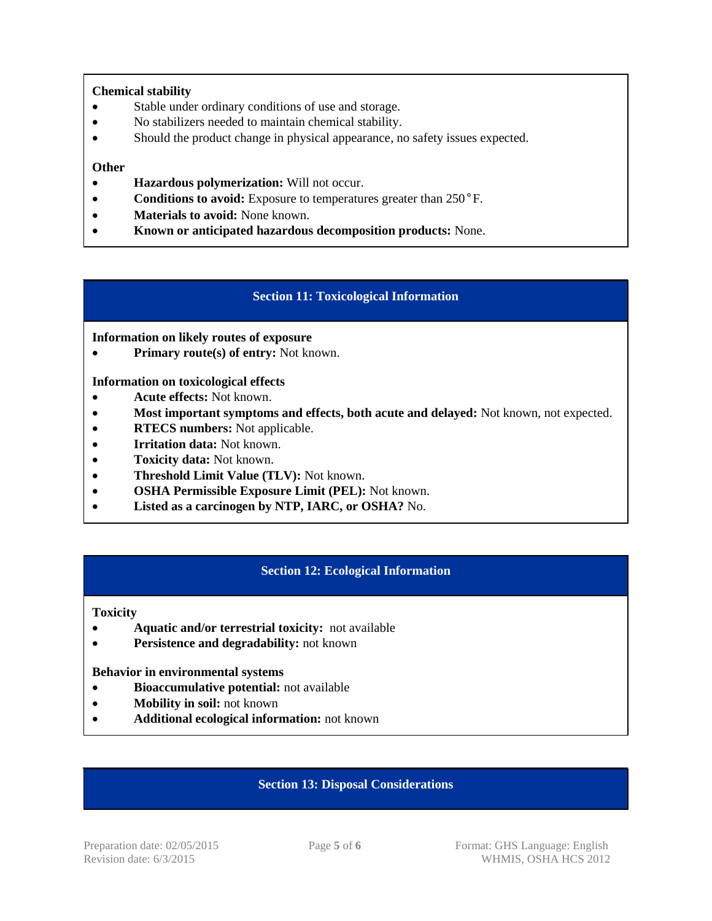## **Chemical stability**

- Stable under ordinary conditions of use and storage.
- No stabilizers needed to maintain chemical stability.
- Should the product change in physical appearance, no safety issues expected.

## **Other**

- **Hazardous polymerization:** Will not occur.
- **Conditions to avoid:** Exposure to temperatures greater than 250°F.
- **Materials to avoid:** None known.
- **Known or anticipated hazardous decomposition products:** None.

## **Section 11: Toxicological Information**

## **Information on likely routes of exposure**

• **Primary route(s) of entry:** Not known.

## **Information on toxicological effects**

- **Acute effects:** Not known.
- **Most important symptoms and effects, both acute and delayed:** Not known, not expected.
- **• RTECS numbers:** Not applicable.
- **Irritation data:** Not known.
- **Toxicity data:** Not known.
- **Threshold Limit Value (TLV):** Not known.
- **OSHA Permissible Exposure Limit (PEL):** Not known.
- **Listed as a carcinogen by NTP, IARC, or OSHA?** No.

## **Section 12: Ecological Information**

**Toxicity**

- **Aquatic and/or terrestrial toxicity:** not available
- **• Persistence and degradability:** not known

#### **Behavior in environmental systems**

- **Bioaccumulative potential:** not available
- **Mobility in soil:** not known
- **Additional ecological information:** not known

## **Section 13: Disposal Considerations**